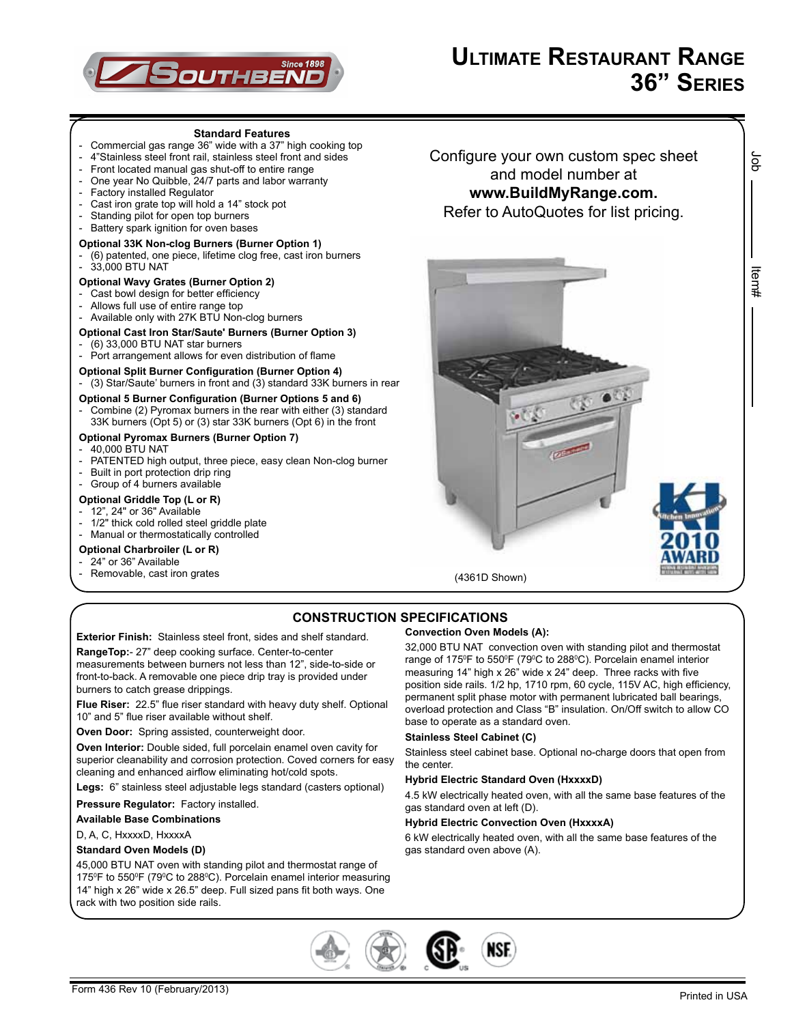

#### **Standard Features** - Commercial gas range 36" wide with a 37" high cooking top - 4"Stainless steel front rail, stainless steel front and sides<br>- Front located manual gas shut-off to entire range Front located manual gas shut-off to entire range - One year No Quibble, 24/7 parts and labor warranty<br>- Eactory installed Requilator Factory installed Regulator Cast iron grate top will hold a 14" stock pot Standing pilot for open top burners Battery spark ignition for oven bases **Optional 33K Non-clog Burners (Burner Option 1)** - (6) patented, one piece, lifetime clog free, cast iron burners - 33,000 BTU NAT **Optional Wavy Grates (Burner Option 2)** Cast bowl design for better efficiency Allows full use of entire range top - Available only with 27K BTU Non-clog burners **Optional Cast Iron Star/Saute' Burners (Burner Option 3)**  $(6)$  33,000 BTU NAT star burners Port arrangement allows for even distribution of flame **Optional Split Burner Configuration (Burner Option 4)** - (3) Star/Saute' burners in front and (3) standard 33K burners in rear **Optional 5 Burner Configuration (Burner Options 5 and 6)** Combine (2) Pyromax burners in the rear with either (3) standard 33K burners (Opt 5) or (3) star 33K burners (Opt 6) in the front **Optional Pyromax Burners (Burner Option 7)** - 40,000 BTU NAT PATENTED high output, three piece, easy clean Non-clog burner Built in port protection drip ring Group of 4 burners available **Optional Griddle Top (L or R)** - 12", 24" or 36" Available 1/2" thick cold rolled steel griddle plate - Manual or thermostatically controlled **Optional Charbroiler (L or R)** 24" or 36" Available Removable, cast iron grates Configure your own custom spec sheet and model number at **www.BuildMyRange.com.** Refer to AutoQuotes for list pricing. (4361D Shown)

**CONSTRUCTION SPECIFICATIONS**

**Exterior Finish:** Stainless steel front, sides and shelf standard. **RangeTop:**- 27" deep cooking surface. Center-to-center measurements between burners not less than 12", side-to-side or front-to-back. A removable one piece drip tray is provided under burners to catch grease drippings.

**Flue Riser:** 22.5" flue riser standard with heavy duty shelf. Optional 10" and 5" flue riser available without shelf.

**Oven Door:** Spring assisted, counterweight door.

**Oven Interior:** Double sided, full porcelain enamel oven cavity for superior cleanability and corrosion protection. Coved corners for easy cleaning and enhanced airflow eliminating hot/cold spots.

**Legs:** 6" stainless steel adjustable legs standard (casters optional)

**Pressure Regulator:** Factory installed.

**Available Base Combinations**

D, A, C, HxxxxD, HxxxxA

### **Standard Oven Models (D)**

45,000 BTU NAT oven with standing pilot and thermostat range of 175<sup>°</sup>F to 550<sup>°</sup>F (79<sup>°</sup>C to 288<sup>°</sup>C). Porcelain enamel interior measuring 14" high x 26" wide x 26.5" deep. Full sized pans fit both ways. One rack with two position side rails.

### **Convection Oven Models (A):**

32,000 BTU NAT convection oven with standing pilot and thermostat range of 175<sup>°</sup>F to 550<sup>°</sup>F (79<sup>°</sup>C to 288<sup>°</sup>C). Porcelain enamel interior measuring 14" high x 26" wide x 24" deep. Three racks with five position side rails. 1/2 hp, 1710 rpm, 60 cycle, 115V AC, high efficiency, permanent split phase motor with permanent lubricated ball bearings, overload protection and Class "B" insulation. On/Off switch to allow CO base to operate as a standard oven.

#### **Stainless Steel Cabinet (C)**

Stainless steel cabinet base. Optional no-charge doors that open from the center.

#### **Hybrid Electric Standard Oven (HxxxxD)**

4.5 kW electrically heated oven, with all the same base features of the gas standard oven at left (D).

#### **Hybrid Electric Convection Oven (HxxxxA)**

6 kW electrically heated oven, with all the same base features of the gas standard oven above (A).



ငွ